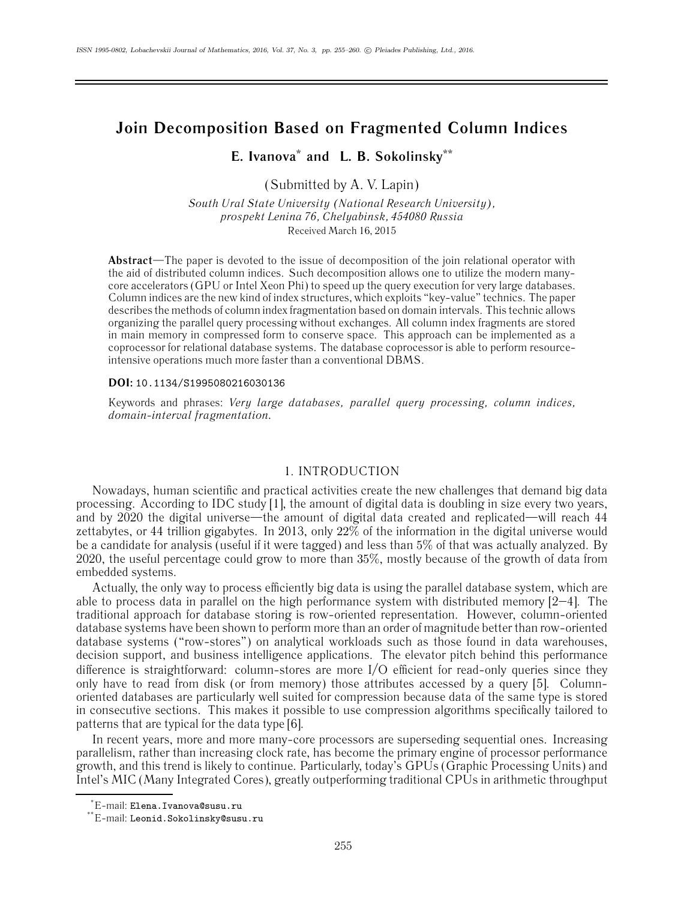# **Join Decomposition Based on Fragmented Column Indices**

**E. Ivanova\* and L. B. Sokolinsky\*\***

(Submitted by A. V. Lapin)

*South Ural State University (National Research University), prospekt Lenina 76, Chelyabinsk, 454080 Russia* Received March 16, 2015

**Abstract**—The paper is devoted to the issue of decomposition of the join relational operator with the aid of distributed column indices. Such decomposition allows one to utilize the modern manycore accelerators (GPU or Intel Xeon Phi) to speed up the query execution for very large databases. Column indices are the new kind of index structures, which exploits "key-value" technics. The paper describes the methods of column index fragmentation based on domain intervals. This technic allows organizing the parallel query processing without exchanges. All column index fragments are stored in main memory in compressed form to conserve space. This approach can be implemented as a coprocessor for relational database systems. The database coprocessor is able to perform resourceintensive operations much more faster than a conventional DBMS.

#### **DOI:** 10.1134/S1995080216030136

Keywords and phrases: *Very large databases, parallel query processing, column indices, domain-interval fragmentation.*

# 1. INTRODUCTION

Nowadays, human scientific and practical activities create the new challenges that demand big data processing. According to IDC study [1], the amount of digital data is doubling in size every two years, and by 2020 the digital universe—the amount of digital data created and replicated—will reach 44 zettabytes, or 44 trillion gigabytes. In 2013, only 22% of the information in the digital universe would be a candidate for analysis (useful if it were tagged) and less than 5% of that was actually analyzed. By 2020, the useful percentage could grow to more than 35%, mostly because of the growth of data from embedded systems.

Actually, the only way to process efficiently big data is using the parallel database system, which are able to process data in parallel on the high performance system with distributed memory  $[2-4]$ . The traditional approach for database storing is row-oriented representation. However, column-oriented database systems have been shown to perform more than an order of magnitude better than row-oriented database systems ("row-stores") on analytical workloads such as those found in data warehouses, decision support, and business intelligence applications. The elevator pitch behind this performance difference is straightforward: column-stores are more I/O efficient for read-only queries since they only have to read from disk (or from memory) those attributes accessed by a query [5]. Columnoriented databases are particularly well suited for compression because data of the same type is stored in consecutive sections. This makes it possible to use compression algorithms specifically tailored to patterns that are typical for the data type [6].

In recent years, more and more many-core processors are superseding sequential ones. Increasing parallelism, rather than increasing clock rate, has become the primary engine of processor performance growth, and this trend is likely to continue. Particularly, today's GPUs (Graphic Processing Units) and Intel's MIC (Many Integrated Cores), greatly outperforming traditional CPUs in arithmetic throughput

<sup>\*</sup> E-mail: Elena.Ivanova@susu.ru

<sup>\*\*</sup>E-mail: Leonid.Sokolinsky@susu.ru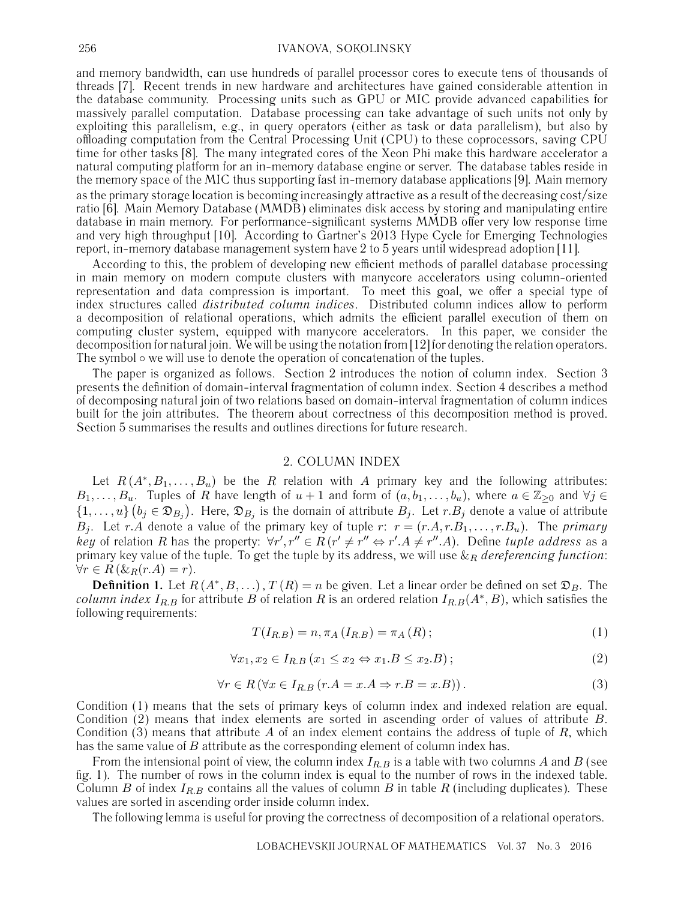#### 256 IVANOVA, SOKOLINSKY

and memory bandwidth, can use hundreds of parallel processor cores to execute tens of thousands of threads [7]. Recent trends in new hardware and architectures have gained considerable attention in the database community. Processing units such as GPU or MIC provide advanced capabilities for massively parallel computation. Database processing can take advantage of such units not only by exploiting this parallelism, e.g., in query operators (either as task or data parallelism), but also by offloading computation from the Central Processing Unit (CPU) to these coprocessors, saving CPU time for other tasks [8]. The many integrated cores of the Xeon Phi make this hardware accelerator a natural computing platform for an in-memory database engine or server. The database tables reside in the memory space of the MIC thus supporting fast in-memory database applications [9]. Main memory as the primary storage location is becoming increasingly attractive as a result of the decreasing cost/size ratio [6]. Main Memory Database (MMDB) eliminates disk access by storing and manipulating entire database in main memory. For performance-significant systems MMDB offer very low response time and very high throughput [10]. According to Gartner's 2013 Hype Cycle for Emerging Technologies report, in-memory database management system have 2 to 5 years until widespread adoption [11].

According to this, the problem of developing new efficient methods of parallel database processing in main memory on modern compute clusters with manycore accelerators using column-oriented representation and data compression is important. To meet this goal, we offer a special type of index structures called *distributed column indices*. Distributed column indices allow to perform a decomposition of relational operations, which admits the efficient parallel execution of them on computing cluster system, equipped with manycore accelerators. In this paper, we consider the decomposition for natural join. We will be using the notation from [12] for denoting the relation operators. The symbol ∘ we will use to denote the operation of concatenation of the tuples.

The paper is organized as follows. Section 2 introduces the notion of column index. Section 3 presents the definition of domain-interval fragmentation of column index. Section 4 describes a method of decomposing natural join of two relations based on domain-interval fragmentation of column indices built for the join attributes. The theorem about correctness of this decomposition method is proved. Section 5 summarises the results and outlines directions for future research.

## 2. COLUMN INDEX

Let  $R(A^*,B_1,\ldots,B_u)$  be the R relation with A primary key and the following attributes:  $B_1,\ldots,B_u$ . Tuples of R have length of  $u+1$  and form of  $(a,b_1,\ldots,b_u)$ , where  $a\in\mathbb{Z}_{\geq0}$  and  $\forall j\in\mathbb{Z}_{\geq0}$  $\{1,\ldots,u\}\ (b_j\in\mathfrak{D}_{B_j}).$  Here,  $\mathfrak{D}_{B_j}$  is the domain of attribute  $B_j$ . Let  $r.B_j$  denote a value of attribute  $B_j$ . Let r.A denote a value of the primary key of tuple r:  $r = (r.A, r.B_1, \ldots, r.B_u)$ . The *primary key* of relation R has the property:  $\forall r', r'' \in R$  ( $r' \neq r'' \Leftrightarrow r'.A \neq r''.A$ ). Define *tuple address* as a primary key value of the tuple. To get the tuple by its address, we will use  $\&R$  *dereferencing function*:  $\forall r \in R \left( \&_R(r.A) = r \right).$ 

**Definition 1.** Let  $R(A^*,B,...), T(R) = n$  be given. Let a linear order be defined on set  $\mathfrak{D}_B$ . The *column index*  $I_{R,B}$  for attribute B of relation R is an ordered relation  $I_{R,B}(A^*,B)$ , which satisfies the following requirements:

$$
T(I_{R,B}) = n, \pi_A(I_{R,B}) = \pi_A(R); \qquad (1)
$$

$$
\forall x_1, x_2 \in I_{R.B}(x_1 \le x_2 \Leftrightarrow x_1.B \le x_2.B); \tag{2}
$$

$$
\forall r \in R \left( \forall x \in I_{R,B} \left( r.A = x.A \Rightarrow r.B = x.B \right) \right). \tag{3}
$$

Condition (1) means that the sets of primary keys of column index and indexed relation are equal. Condition (2) means that index elements are sorted in ascending order of values of attribute B. Condition (3) means that attribute A of an index element contains the address of tuple of  $R$ , which has the same value of B attribute as the corresponding element of column index has.

From the intensional point of view, the column index  $I_{R,B}$  is a table with two columns A and B (see fig. 1). The number of rows in the column index is equal to the number of rows in the indexed table. Column B of index  $I_{R,B}$  contains all the values of column B in table R (including duplicates). These values are sorted in ascending order inside column index.

The following lemma is useful for proving the correctness of decomposition of a relational operators.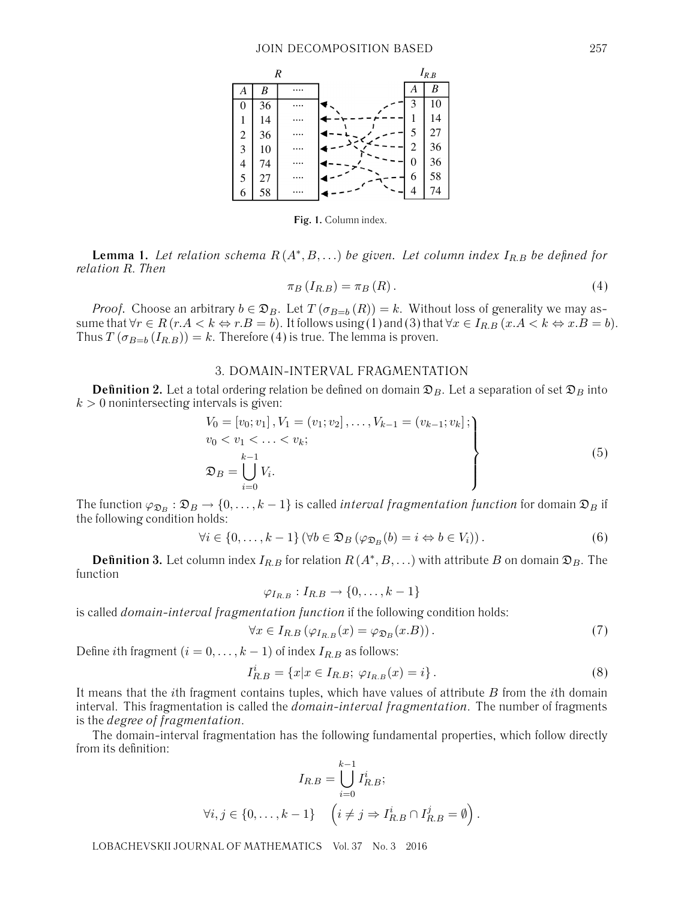

**Fig. 1.** Column index.

**Lemma 1.** Let relation schema  $R(A^*,B,...)$  be given. Let column index  $I_{R,B}$  be defined for *relation* R. *Then*

$$
\pi_B(I_{R.B}) = \pi_B(R). \tag{4}
$$

*Proof.* Choose an arbitrary  $b \in \mathfrak{D}_B$ . Let  $T(\sigma_{B=b}(R)) = k$ . Without loss of generality we may assume that  $\forall r \in R$  ( $r.A < k \Leftrightarrow r.B = b$ ). It follows using (1) and (3) that  $\forall x \in I_{R.B}$  ( $x.A < k \Leftrightarrow x.B = b$ ). Thus  $T(\sigma_{B=b} (I_{R,B})) = k$ . Therefore (4) is true. The lemma is proven.

# 3. DOMAIN-INTERVAL FRAGMENTATION

**Definition 2.** Let a total ordering relation be defined on domain  $\mathfrak{D}_B$ . Let a separation of set  $\mathfrak{D}_B$  into  $k > 0$  nonintersecting intervals is given:

$$
V_0 = [v_0; v_1], V_1 = (v_1; v_2], \dots, V_{k-1} = (v_{k-1}; v_k];
$$
  
\n
$$
v_0 < v_1 < \dots < v_k;
$$
  
\n
$$
\mathfrak{D}_B = \bigcup_{i=0}^{k-1} V_i.
$$
\n
$$
(5)
$$

The function  $\varphi_{\mathfrak{D}_B} : \mathfrak{D}_B \to \{0, \ldots, k-1\}$  is called *interval fragmentation function* for domain  $\mathfrak{D}_B$  if the following condition holds:

$$
\forall i \in \{0, \ldots, k-1\} \left(\forall b \in \mathfrak{D}_B \left(\varphi_{\mathfrak{D}_B}(b) = i \Leftrightarrow b \in V_i\right)\right). \tag{6}
$$

**Definition 3.** Let column index  $I_{R,B}$  for relation  $R(A^*,B,...)$  with attribute B on domain  $\mathfrak{D}_B$ . The function

$$
\varphi_{I_{R.B}}: I_{R.B} \to \{0,\ldots,k-1\}
$$

is called *domain-interval fragmentation function* if the following condition holds:

$$
\forall x \in I_{R,B} \left( \varphi_{I_{R,B}}(x) = \varphi_{\mathfrak{D}_B}(x.B) \right). \tag{7}
$$

Define *i*th fragment ( $i = 0, \ldots, k - 1$ ) of index  $I_{R,B}$  as follows:

$$
I_{R,B}^i = \{x | x \in I_{R,B}; \ \varphi_{I_{R,B}}(x) = i\}.
$$
\n(8)

It means that the *i*th fragment contains tuples, which have values of attribute  $B$  from the *i*th domain interval. This fragmentation is called the *domain-interval fragmentation*. The number of fragments is the *degree of fragmentation*.

The domain-interval fragmentation has the following fundamental properties, which follow directly from its definition:

$$
I_{R.B} = \bigcup_{i=0}^{k-1} I_{R.B}^i;
$$
  

$$
\forall i, j \in \{0, \dots, k-1\} \quad \left(i \neq j \Rightarrow I_{R.B}^i \cap I_{R.B}^j = \emptyset\right).
$$

LOBACHEVSKII JOURNAL OF MATHEMATICS Vol. 37 No. 3 2016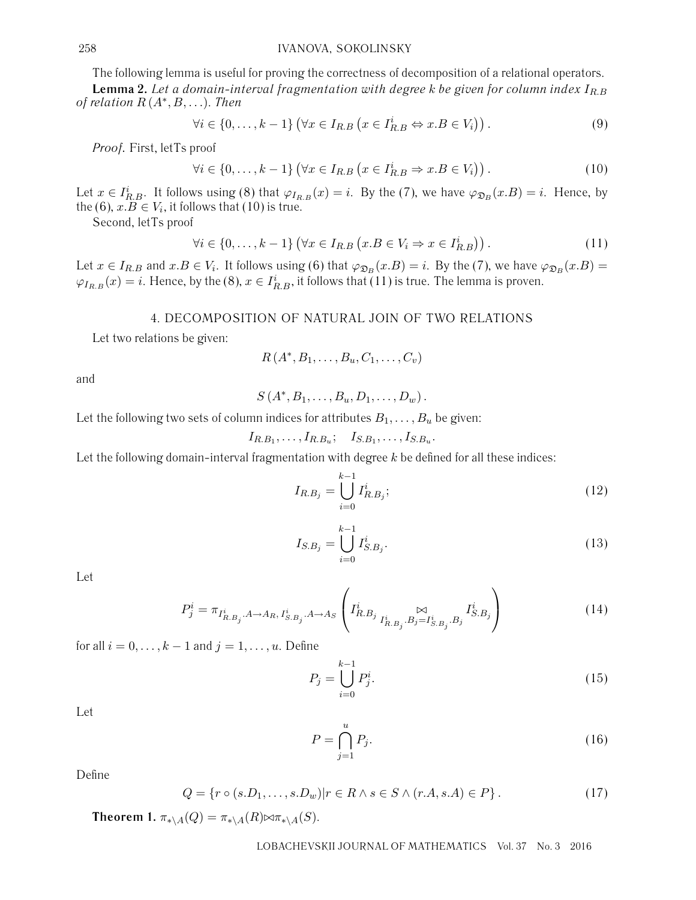The following lemma is useful for proving the correctness of decomposition of a relational operators. **Lemma 2.** Let a domain-interval fragmentation with degree k be given for column index  $I_{R,B}$ *of relation* R (A∗,B,...). *Then*

$$
\forall i \in \{0, \dots, k-1\} \left(\forall x \in I_{R.B} \left(x \in I_{R.B}^i \Leftrightarrow x.B \in V_i\right)\right). \tag{9}
$$

*Proof.* First, letТs proof

$$
\forall i \in \{0, \dots, k-1\} \left(\forall x \in I_{R.B} \left(x \in I_{R.B}^i \Rightarrow x.B \in V_i\right)\right). \tag{10}
$$

Let  $x \in I_{R,B}^i$ . It follows using (8) that  $\varphi_{I_{R,B}}(x) = i$ . By the (7), we have  $\varphi_{\mathfrak{D}_B}(x,B) = i$ . Hence, by the (6),  $x.B \in V_i$ , it follows that (10) is true.

Second, letТs proof

$$
\forall i \in \{0, \dots, k-1\} \left(\forall x \in I_{R,B} \left(x.B \in V_i \Rightarrow x \in I_{R,B}^i\right)\right). \tag{11}
$$

Let  $x \in I_{R,B}$  and  $x.B \in V_i$ . It follows using (6) that  $\varphi_{\mathfrak{D}_B}(x.B) = i$ . By the (7), we have  $\varphi_{\mathfrak{D}_B}(x.B) = i$  $\varphi_{I_{R,B}}(x) = i$ . Hence, by the (8),  $x \in I_{R,B}^i$ , it follows that (11) is true. The lemma is proven.

## 4. DECOMPOSITION OF NATURAL JOIN OF TWO RELATIONS

Let two relations be given:

$$
R(A^*,B_1,\ldots,B_u,C_1,\ldots,C_v)
$$

and

$$
S(A^*,B_1,\ldots,B_u,D_1,\ldots,D_w).
$$

Let the following two sets of column indices for attributes  $B_1, \ldots, B_u$  be given:

$$
I_{R.B_1},\ldots,I_{R.B_u};\quad I_{S.B_1},\ldots,I_{S.B_u}.
$$

Let the following domain-interval fragmentation with degree  $k$  be defined for all these indices:

$$
I_{R.B_j} = \bigcup_{i=0}^{k-1} I_{R.B_j}^i;
$$
\n(12)

$$
I_{S.B_j} = \bigcup_{i=0}^{k-1} I_{S.B_j}^i.
$$
 (13)

Let

$$
P_j^i = \pi_{I_{R.B_j}^i \cdot A \to A_R, I_{S.B_j}^i \cdot A \to A_S} \left( I_{R.B_j}^i \underset{I_{R.B_j}^i \cdot B_j = I_{S.B_j}^i \cdot B_j}{\bowtie} I_{S.B_j}^i \right)
$$
(14)

for all  $i = 0, \ldots, k - 1$  and  $j = 1, \ldots, u$ . Define

$$
P_j = \bigcup_{i=0}^{k-1} P_j^i.
$$
 (15)

Let

$$
P = \bigcap_{j=1}^{u} P_j.
$$
\n(16)

Define

$$
Q = \{r \circ (s.D_1, \dots, s.D_w)| r \in R \land s \in S \land (r.A, s.A) \in P\}.
$$
\n
$$
(17)
$$

**Theorem 1.**  $\pi_{*\lambda A}(Q) = \pi_{*\lambda A}(R) \bowtie \pi_{*\lambda A}(S)$ .

LOBACHEVSKII JOURNAL OF MATHEMATICS Vol. 37 No. 3 2016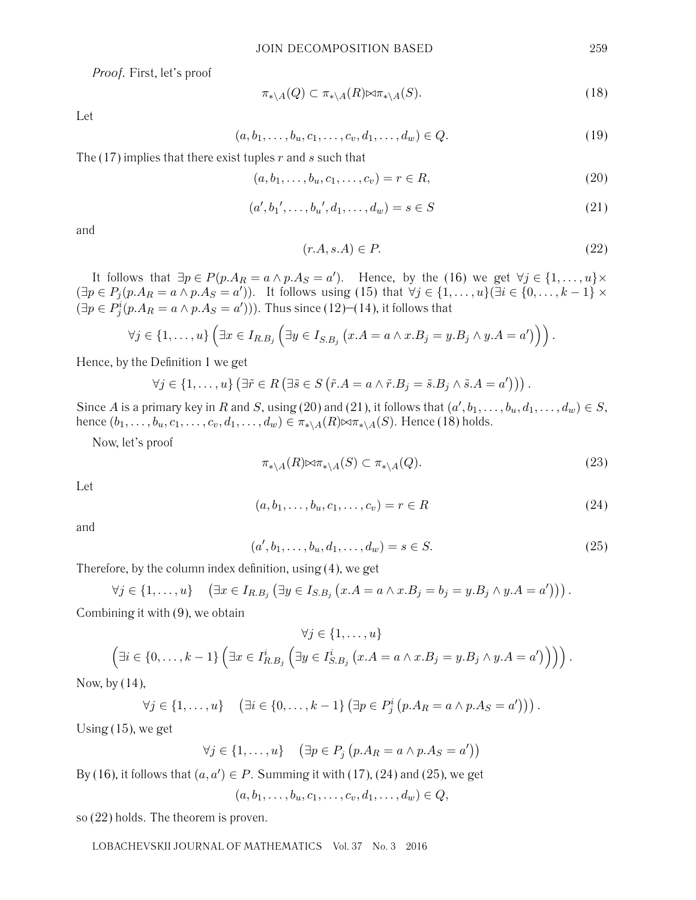*Proof.* First, let's proof

$$
\pi_{* \backslash A}(Q) \subset \pi_{* \backslash A}(R) \bowtie \pi_{* \backslash A}(S). \tag{18}
$$

Let

$$
(a, b_1, \dots, b_u, c_1, \dots, c_v, d_1, \dots, d_w) \in Q.
$$
 (19)

The  $(17)$  implies that there exist tuples r and s such that

$$
(a, b_1, \dots, b_u, c_1, \dots, c_v) = r \in R,
$$
\n(20)

$$
(a', b_1', \dots, b_u', d_1, \dots, d_w) = s \in S \tag{21}
$$

and

$$
(r.A, s.A) \in P. \tag{22}
$$

It follows that  $\exists p \in P(p.A_R = a \land p.A_S = a')$ . Hence, by the (16) we get  $\forall j \in \{1, ..., u\} \times$  $(\exists p \in P_j(p.A_R = a \land p.A_S = a'))$ . It follows using (15) that  $\forall j \in \{1, ..., u\}$   $(\exists i \in \{0, ..., k-1\} \times a')$  $(\exists p \in P_j^i(p.A_R = a \land p.A_S = a'))$ . Thus since (12)–(14), it follows that

$$
\forall j \in \{1,\ldots,u\} \left(\exists x \in I_{R.B_j} \left(\exists y \in I_{S.B_j} \left(x.A=a \land x.B_j=y.B_j \land y.A=a'\right)\right)\right).
$$

Hence, by the Definition 1 we get

$$
\forall j \in \{1,\ldots,u\} \left(\exists \tilde{r} \in R \left(\exists \tilde{s} \in S \left(\tilde{r}.A=a \wedge \tilde{r}.B_j=\tilde{s}.B_j \wedge \tilde{s}.A=a'\right)\right)\right).
$$

Since A is a primary key in R and S, using (20) and (21), it follows that  $(a', b_1, \ldots, b_u, d_1, \ldots, d_w) \in S$ , hence  $(b_1,\ldots,b_u,c_1,\ldots,c_v,d_1,\ldots,d_w) \in \pi_{*\setminus A}(R) \bowtie \pi_{*\setminus A}(S)$ . Hence (18) holds.

Now, let's proof

$$
\pi_{* \backslash A}(R) \bowtie \pi_{* \backslash A}(S) \subset \pi_{* \backslash A}(Q). \tag{23}
$$

Let

$$
(a, b_1, \dots, b_u, c_1, \dots, c_v) = r \in R
$$
\n(24)

and

$$
(a', b_1, \dots, b_u, d_1, \dots, d_w) = s \in S. \tag{25}
$$

Therefore, by the column index definition, using (4), we get

$$
\forall j \in \{1,\ldots,u\} \quad (\exists x \in I_{R.B_j} (\exists y \in I_{S.B_j} (x.A = a \land x.B_j = b_j = y.B_j \land y.A = a'))).
$$

Combining it with (9), we obtain

$$
\forall j \in \{1, ..., u\}
$$

$$
\left(\exists i \in \{0, ..., k-1\} \left(\exists x \in I_{R.B_j}^i \left(\exists y \in I_{S.B_j}^i \left(x.A = a \land x.B_j = y.B_j \land y.A = a'\right)\right)\right)\right).
$$

Now, by (14),

$$
\forall j \in \{1,\ldots,u\} \quad (\exists i \in \{0,\ldots,k-1\} \left(\exists p \in P_j^i \left(p.A_R = a \land p.A_S = a'\right)\right)\right).
$$

Using (15), we get

$$
\forall j \in \{1, \ldots, u\} \quad (\exists p \in P_j \ (p.A_R = a \land p.A_S = a'))
$$

By (16), it follows that  $(a, a') \in P$ . Summing it with (17), (24) and (25), we get

 $(a, b_1, \ldots, b_n, c_1, \ldots, c_n, d_1, \ldots, d_m) \in Q$ 

so (22) holds. The theorem is proven.

LOBACHEVSKII JOURNAL OF MATHEMATICS Vol. 37 No. 3 2016